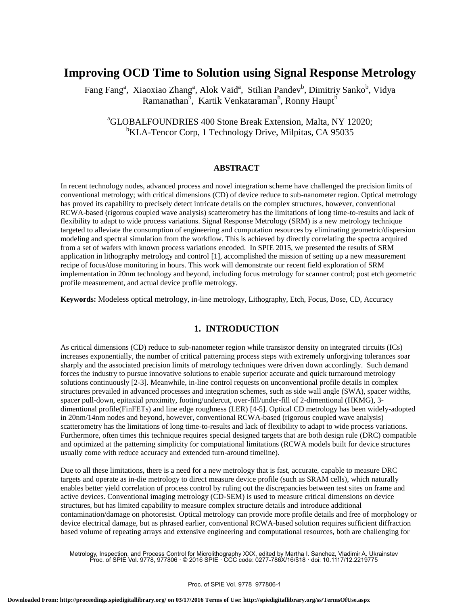# **Improving OCD Time to Solution using Signal Response Metrology**

Fang Fang<sup>a</sup>, Xiaoxiao Zhang<sup>a</sup>, Alok Vaid<sup>a</sup>, Stilian Pandev<sup>b</sup>, Dimitriy Sanko<sup>b</sup>, Vidya Ramanathan<sup>b</sup>, Kartik Venkataraman<sup>b</sup>, Ronny Haupt<sup>b</sup>

# <sup>a</sup>GLOBALFOUNDRIES 400 Stone Break Extension, Malta, NY 12020; <sup>b</sup>KLA-Tencor Corp, 1 Technology Drive, Milpitas, CA 95035

## **ABSTRACT**

In recent technology nodes, advanced process and novel integration scheme have challenged the precision limits of conventional metrology; with critical dimensions (CD) of device reduce to sub-nanometer region. Optical metrology has proved its capability to precisely detect intricate details on the complex structures, however, conventional RCWA-based (rigorous coupled wave analysis) scatterometry has the limitations of long time-to-results and lack of flexibility to adapt to wide process variations. Signal Response Metrology (SRM) is a new metrology technique targeted to alleviate the consumption of engineering and computation resources by eliminating geometric/dispersion modeling and spectral simulation from the workflow. This is achieved by directly correlating the spectra acquired from a set of wafers with known process variations encoded. In SPIE 2015, we presented the results of SRM application in lithography metrology and control [1], accomplished the mission of setting up a new measurement recipe of focus/dose monitoring in hours. This work will demonstrate our recent field exploration of SRM implementation in 20nm technology and beyond, including focus metrology for scanner control; post etch geometric profile measurement, and actual device profile metrology.

**Keywords:** Modeless optical metrology, in-line metrology, Lithography, Etch, Focus, Dose, CD, Accuracy

## **1. INTRODUCTION**

As critical dimensions (CD) reduce to sub-nanometer region while transistor density on integrated circuits (ICs) increases exponentially, the number of critical patterning process steps with extremely unforgiving tolerances soar sharply and the associated precision limits of metrology techniques were driven down accordingly. Such demand forces the industry to pursue innovative solutions to enable superior accurate and quick turnaround metrology solutions continuously [2-3]. Meanwhile, in-line control requests on unconventional profile details in complex structures prevailed in advanced processes and integration schemes, such as side wall angle (SWA), spacer widths, spacer pull-down, epitaxial proximity, footing/undercut, over-fill/under-fill of 2-dimentional (HKMG), 3 dimentional profile(FinFETs) and line edge roughness (LER) [4-5]. Optical CD metrology has been widely-adopted in 20nm/14nm nodes and beyond, however, conventional RCWA-based (rigorous coupled wave analysis) scatterometry has the limitations of long time-to-results and lack of flexibility to adapt to wide process variations. Furthermore, often times this technique requires special designed targets that are both design rule (DRC) compatible and optimized at the patterning simplicity for computational limitations (RCWA models built for device structures usually come with reduce accuracy and extended turn-around timeline).

Due to all these limitations, there is a need for a new metrology that is fast, accurate, capable to measure DRC targets and operate as in-die metrology to direct measure device profile (such as SRAM cells), which naturally enables better yield correlation of process control by ruling out the discrepancies between test sites on frame and active devices. Conventional imaging metrology (CD-SEM) is used to measure critical dimensions on device structures, but has limited capability to measure complex structure details and introduce additional contamination/damage on photoresist. Optical metrology can provide more profile details and free of morphology or device electrical damage, but as phrased earlier, conventional RCWA-based solution requires sufficient diffraction based volume of repeating arrays and extensive engineering and computational resources, both are challenging for

Metrology, Inspection, and Process Control for Microlithography XXX, edited by Martha I. Sanchez, Vladimir A. Ukrainstev Proc. of SPIE Vol. 9778, 977806 · © 2016 SPIE · CCC code: 0277-786X/16/\$18 · doi: 10.1117/12.2219775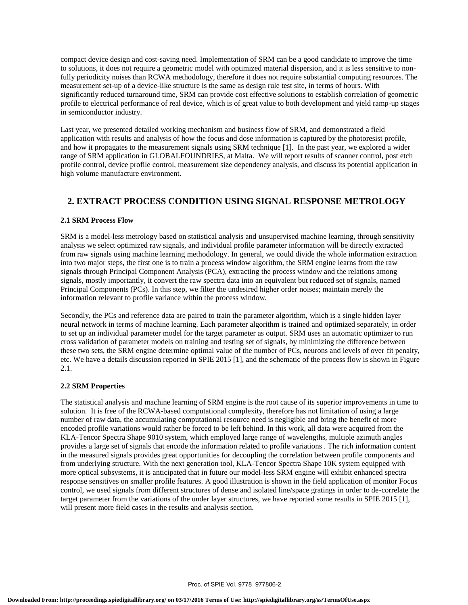compact device design and cost-saving need. Implementation of SRM can be a good candidate to improve the time to solutions, it does not require a geometric model with optimized material dispersion, and it is less sensitive to nonfully periodicity noises than RCWA methodology, therefore it does not require substantial computing resources. The measurement set-up of a device-like structure is the same as design rule test site, in terms of hours. With significantly reduced turnaround time, SRM can provide cost effective solutions to establish correlation of geometric profile to electrical performance of real device, which is of great value to both development and yield ramp-up stages in semiconductor industry.

Last year, we presented detailed working mechanism and business flow of SRM, and demonstrated a field application with results and analysis of how the focus and dose information is captured by the photoresist profile, and how it propagates to the measurement signals using SRM technique [1]. In the past year, we explored a wider range of SRM application in GLOBALFOUNDRIES, at Malta. We will report results of scanner control, post etch profile control, device profile control, measurement size dependency analysis, and discuss its potential application in high volume manufacture environment.

## **2. EXTRACT PROCESS CONDITION USING SIGNAL RESPONSE METROLOGY**

## **2.1 SRM Process Flow**

SRM is a model-less metrology based on statistical analysis and unsupervised machine learning, through sensitivity analysis we select optimized raw signals, and individual profile parameter information will be directly extracted from raw signals using machine learning methodology. In general, we could divide the whole information extraction into two major steps, the first one is to train a process window algorithm, the SRM engine learns from the raw signals through Principal Component Analysis (PCA), extracting the process window and the relations among signals, mostly importantly, it convert the raw spectra data into an equivalent but reduced set of signals, named Principal Components (PCs). In this step, we filter the undesired higher order noises; maintain merely the information relevant to profile variance within the process window.

Secondly, the PCs and reference data are paired to train the parameter algorithm, which is a single hidden layer neural network in terms of machine learning. Each parameter algorithm is trained and optimized separately, in order to set up an individual parameter model for the target parameter as output. SRM uses an automatic optimizer to run cross validation of parameter models on training and testing set of signals, by minimizing the difference between these two sets, the SRM engine determine optimal value of the number of PCs, neurons and levels of over fit penalty, etc. We have a details discussion reported in SPIE 2015 [1], and the schematic of the process flow is shown in Figure 2.1.

### **2.2 SRM Properties**

The statistical analysis and machine learning of SRM engine is the root cause of its superior improvements in time to solution. It is free of the RCWA-based computational complexity, therefore has not limitation of using a large number of raw data, the accumulating computational resource need is negligible and bring the benefit of more encoded profile variations would rather be forced to be left behind. In this work, all data were acquired from the KLA-Tencor Spectra Shape 9010 system, which employed large range of wavelengths, multiple azimuth angles provides a large set of signals that encode the information related to profile variations . The rich information content in the measured signals provides great opportunities for decoupling the correlation between profile components and from underlying structure. With the next generation tool, KLA-Tencor Spectra Shape 10K system equipped with more optical subsystems, it is anticipated that in future our model-less SRM engine will exhibit enhanced spectra response sensitives on smaller profile features. A good illustration is shown in the field application of monitor Focus control, we used signals from different structures of dense and isolated line/space gratings in order to de-correlate the target parameter from the variations of the under layer structures, we have reported some results in SPIE 2015 [1], will present more field cases in the results and analysis section.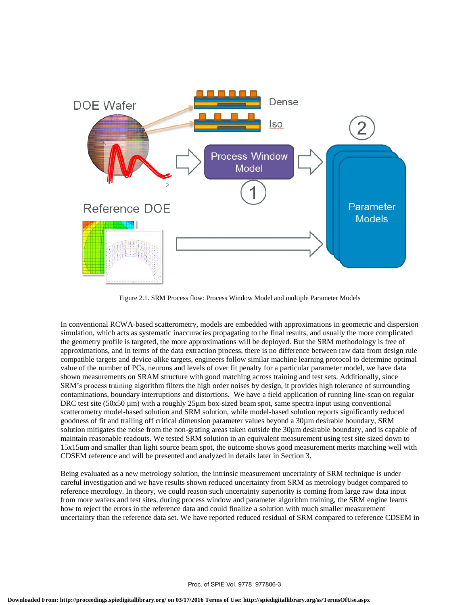

Figure 2.1. SRM Process flow: Process Window Model and multiple Parameter Models

In conventional RCWA-based scatterometry, models are embedded with approximations in geometric and dispersion simulation, which acts as systematic inaccuracies propagating to the final results, and usually the more complicated the geometry profile is targeted, the more approximations will be deployed. But the SRM methodology is free of approximations, and in terms of the data extraction process, there is no difference between raw data from design rule compatible targets and device-alike targets, engineers follow similar machine learning protocol to determine optimal value of the number of PCs, neurons and levels of over fit penalty for a particular parameter model, we have data shown measurements on SRAM structure with good matching across training and test sets. Additionally, since SRM's process training algorithm filters the high order noises by design, it provides high tolerance of surrounding contaminations, boundary interruptions and distortions. We have a field application of running line-scan on regular DRC test site  $(50x50 \mu m)$  with a roughly 25 $\mu$ m box-sized beam spot, same spectra input using conventional scatterometry model-based solution and SRM solution, while model-based solution reports significantly reduced goodness of fit and trailing off critical dimension parameter values beyond a 30µm desirable boundary, SRM solution mitigates the noise from the non-grating areas taken outside the 30µm desirable boundary, and is capable of maintain reasonable readouts. We tested SRM solution in an equivalent measurement using test site sized down to 15x15um and smaller than light source beam spot, the outcome shows good measurement merits matching well with CDSEM reference and will be presented and analyzed in details later in Section 3.

Being evaluated as a new metrology solution, the intrinsic measurement uncertainty of SRM technique is under careful investigation and we have results shown reduced uncertainty from SRM as metrology budget compared to reference metrology. In theory, we could reason such uncertainty superiority is coming from large raw data input from more wafers and test sites, during process window and parameter algorithm training, the SRM engine learns how to reject the errors in the reference data and could finalize a solution with much smaller measurement uncertainty than the reference data set. We have reported reduced residual of SRM compared to reference CDSEM in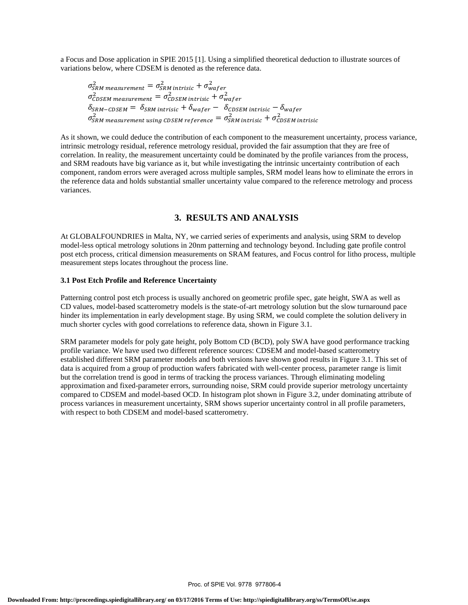a Focus and Dose application in SPIE 2015 [1]. Using a simplified theoretical deduction to illustrate sources of variations below, where CDSEM is denoted as the reference data.

$$
\sigma_{SRM\ measurement}^2 = \sigma_{SRM\ intrinsic}^2 + \sigma_{waper}^2
$$
\n
$$
\sigma_{CDSEM\ measurement}^2 = \sigma_{CDSEM\ intrinsic}^2 + \sigma_{waper}^2
$$
\n
$$
\delta_{SRM-CDSEM} = \delta_{SRM\ intrinsic} + \delta_{waper} - \delta_{CDSEM\ intrinsic} - \delta_{waper}
$$
\n
$$
\sigma_{SRM\ measurement\ using\ CDSEM\ reference}^2 = \sigma_{SRM\ intrinsic}^2 + \sigma_{CDSEM\ intrinsic}^2
$$

As it shown, we could deduce the contribution of each component to the measurement uncertainty, process variance, intrinsic metrology residual, reference metrology residual, provided the fair assumption that they are free of correlation. In reality, the measurement uncertainty could be dominated by the profile variances from the process, and SRM readouts have big variance as it, but while investigating the intrinsic uncertainty contribution of each component, random errors were averaged across multiple samples, SRM model leans how to eliminate the errors in the reference data and holds substantial smaller uncertainty value compared to the reference metrology and process variances.

## **3. RESULTS AND ANALYSIS**

At GLOBALFOUNDRIES in Malta, NY, we carried series of experiments and analysis, using SRM to develop model-less optical metrology solutions in 20nm patterning and technology beyond. Including gate profile control post etch process, critical dimension measurements on SRAM features, and Focus control for litho process, multiple measurement steps locates throughout the process line.

#### **3.1 Post Etch Profile and Reference Uncertainty**

Patterning control post etch process is usually anchored on geometric profile spec, gate height, SWA as well as CD values, model-based scatterometry models is the state-of-art metrology solution but the slow turnaround pace hinder its implementation in early development stage. By using SRM, we could complete the solution delivery in much shorter cycles with good correlations to reference data, shown in Figure 3.1.

SRM parameter models for poly gate height, poly Bottom CD (BCD), poly SWA have good performance tracking profile variance. We have used two different reference sources: CDSEM and model-based scatterometry established different SRM parameter models and both versions have shown good results in Figure 3.1. This set of data is acquired from a group of production wafers fabricated with well-center process, parameter range is limit but the correlation trend is good in terms of tracking the process variances. Through eliminating modeling approximation and fixed-parameter errors, surrounding noise, SRM could provide superior metrology uncertainty compared to CDSEM and model-based OCD. In histogram plot shown in Figure 3.2, under dominating attribute of process variances in measurement uncertainty, SRM shows superior uncertainty control in all profile parameters, with respect to both CDSEM and model-based scatterometry.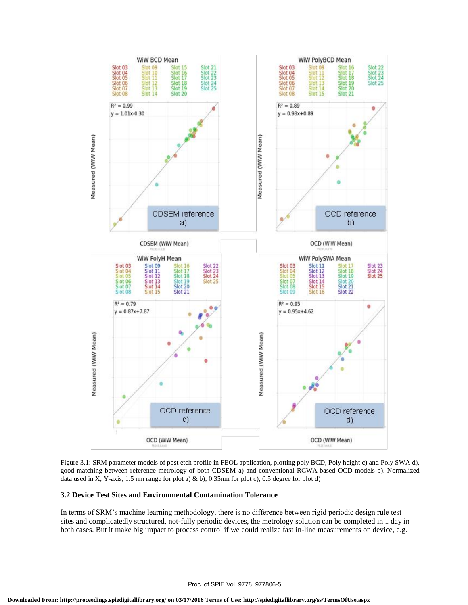



## **3.2 Device Test Sites and Environmental Contamination Tolerance**

In terms of SRM's machine learning methodology, there is no difference between rigid periodic design rule test sites and complicatedly structured, not-fully periodic devices, the metrology solution can be completed in 1 day in both cases. But it make big impact to process control if we could realize fast in-line measurements on device, e.g.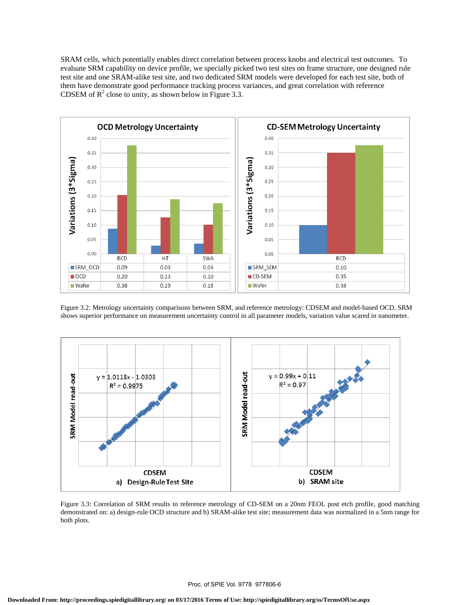SRAM cells, which potentially enables direct correlation between process knobs and electrical test outcomes. To evaluate SRM capability on device profile, we specially picked two test sites on frame structure, one designed rule test site and one SRAM-alike test site, and two dedicated SRM models were developed for each test site, both of them have demonstrate good performance tracking process variances, and great correlation with reference CDSEM of  $R^2$  close to unity, as shown below in Figure 3.3.



Figure 3.2: Metrology uncertainty comparisons between SRM, and reference metrology: CDSEM and model-based OCD. SRM shows superior performance on measurement uncertainty control in all parameter models, variation value scared in nanometer.



Figure 3.3: Correlation of SRM results to reference metrology of CD-SEM on a 20nm FEOL post etch profile, good matching demonstrated on: a) design-rule OCD structure and b) SRAM-alike test site; measurement data was normalized in a 5nm range for both plots.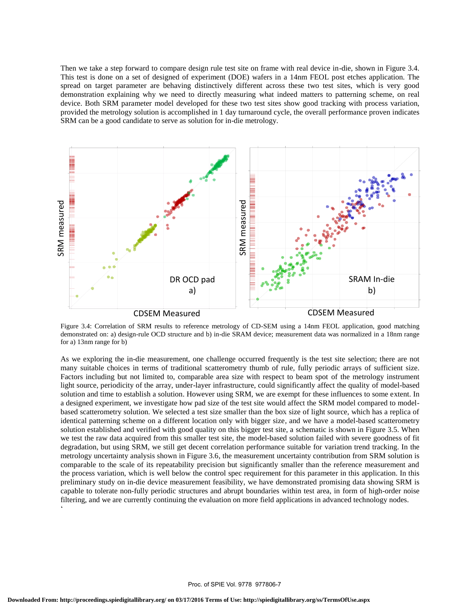Then we take a step forward to compare design rule test site on frame with real device in-die, shown in Figure 3.4. This test is done on a set of designed of experiment (DOE) wafers in a 14nm FEOL post etches application. The spread on target parameter are behaving distinctively different across these two test sites, which is very good demonstration explaining why we need to directly measuring what indeed matters to patterning scheme, on real device. Both SRM parameter model developed for these two test sites show good tracking with process variation, provided the metrology solution is accomplished in 1 day turnaround cycle, the overall performance proven indicates SRM can be a good candidate to serve as solution for in-die metrology.



Figure 3.4: Correlation of SRM results to reference metrology of CD-SEM using a 14nm FEOL application, good matching demonstrated on: a) design-rule OCD structure and b) in-die SRAM device; measurement data was normalized in a 18nm range for a) 13nm range for b)

As we exploring the in-die measurement, one challenge occurred frequently is the test site selection; there are not many suitable choices in terms of traditional scatterometry thumb of rule, fully periodic arrays of sufficient size. Factors including but not limited to, comparable area size with respect to beam spot of the metrology instrument light source, periodicity of the array, under-layer infrastructure, could significantly affect the quality of model-based solution and time to establish a solution. However using SRM, we are exempt for these influences to some extent. In a designed experiment, we investigate how pad size of the test site would affect the SRM model compared to modelbased scatterometry solution. We selected a test size smaller than the box size of light source, which has a replica of identical patterning scheme on a different location only with bigger size, and we have a model-based scatterometry solution established and verified with good quality on this bigger test site, a schematic is shown in Figure 3.5. When we test the raw data acquired from this smaller test site, the model-based solution failed with severe goodness of fit degradation, but using SRM, we still get decent correlation performance suitable for variation trend tracking. In the metrology uncertainty analysis shown in Figure 3.6, the measurement uncertainty contribution from SRM solution is comparable to the scale of its repeatability precision but significantly smaller than the reference measurement and the process variation, which is well below the control spec requirement for this parameter in this application. In this preliminary study on in-die device measurement feasibility, we have demonstrated promising data showing SRM is capable to tolerate non-fully periodic structures and abrupt boundaries within test area, in form of high-order noise filtering, and we are currently continuing the evaluation on more field applications in advanced technology nodes.  $\zeta$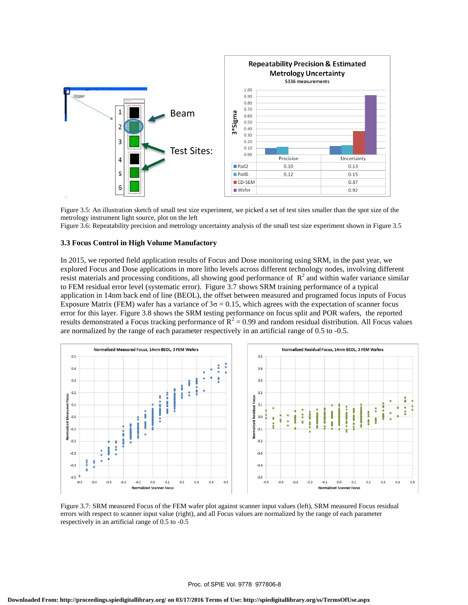

Figure 3.5: An illustration sketch of small test size experiment, we picked a set of test sites smaller than the spot size of the metrology instrument light source, plot on the left

Figure 3.6: Repeatability precision and metrology uncertainty analysis of the small test size experiment shown in Figure 3.5

#### **3.3 Focus Control in High Volume Manufactory**

In 2015, we reported field application results of Focus and Dose monitoring using SRM, in the past year, we explored Focus and Dose applications in more litho levels across different technology nodes, involving different resist materials and processing conditions, all showing good performance of  $R^2$  and within wafer variance similar to FEM residual error level (systematic error). Figure 3.7 shows SRM training performance of a typical application in 14nm back end of line (BEOL), the offset between measured and programed focus inputs of Focus Exposure Matrix (FEM) wafer has a variance of  $3\sigma = 0.15$ , which agrees with the expectation of scanner focus error for this layer. Figure 3.8 shows the SRM testing performance on focus split and POR wafers, the reported results demonstrated a Focus tracking performance of  $R^2 = 0.99$  and random residual distribution. All Focus values are normalized by the range of each parameter respectively in an artificial range of 0.5 to -0.5.



Figure 3.7: SRM measured Focus of the FEM wafer plot against scanner input values (left), SRM measured Focus residual errors with respect to scanner input value (right), and all Focus values are normalized by the range of each parameter respectively in an artificial range of 0.5 to -0.5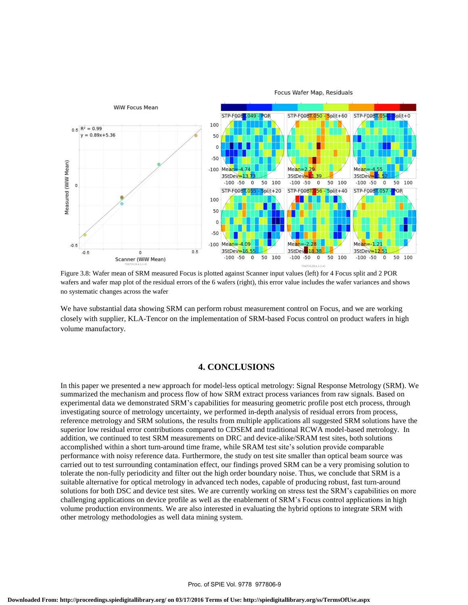

Figure 3.8: Wafer mean of SRM measured Focus is plotted against Scanner input values (left) for 4 Focus split and 2 POR wafers and wafer map plot of the residual errors of the 6 wafers (right), this error value includes the wafer variances and shows no systematic changes across the wafer

We have substantial data showing SRM can perform robust measurement control on Focus, and we are working closely with supplier, KLA-Tencor on the implementation of SRM-based Focus control on product wafers in high volume manufactory.

### **4. CONCLUSIONS**

In this paper we presented a new approach for model-less optical metrology: Signal Response Metrology (SRM). We summarized the mechanism and process flow of how SRM extract process variances from raw signals. Based on experimental data we demonstrated SRM's capabilities for measuring geometric profile post etch process, through investigating source of metrology uncertainty, we performed in-depth analysis of residual errors from process, reference metrology and SRM solutions, the results from multiple applications all suggested SRM solutions have the superior low residual error contributions compared to CDSEM and traditional RCWA model-based metrology. In addition, we continued to test SRM measurements on DRC and device-alike/SRAM test sites, both solutions accomplished within a short turn-around time frame, while SRAM test site's solution provide comparable performance with noisy reference data. Furthermore, the study on test site smaller than optical beam source was carried out to test surrounding contamination effect, our findings proved SRM can be a very promising solution to tolerate the non-fully periodicity and filter out the high order boundary noise. Thus, we conclude that SRM is a suitable alternative for optical metrology in advanced tech nodes, capable of producing robust, fast turn-around solutions for both DSC and device test sites. We are currently working on stress test the SRM's capabilities on more challenging applications on device profile as well as the enablement of SRM's Focus control applications in high volume production environments. We are also interested in evaluating the hybrid options to integrate SRM with other metrology methodologies as well data mining system.